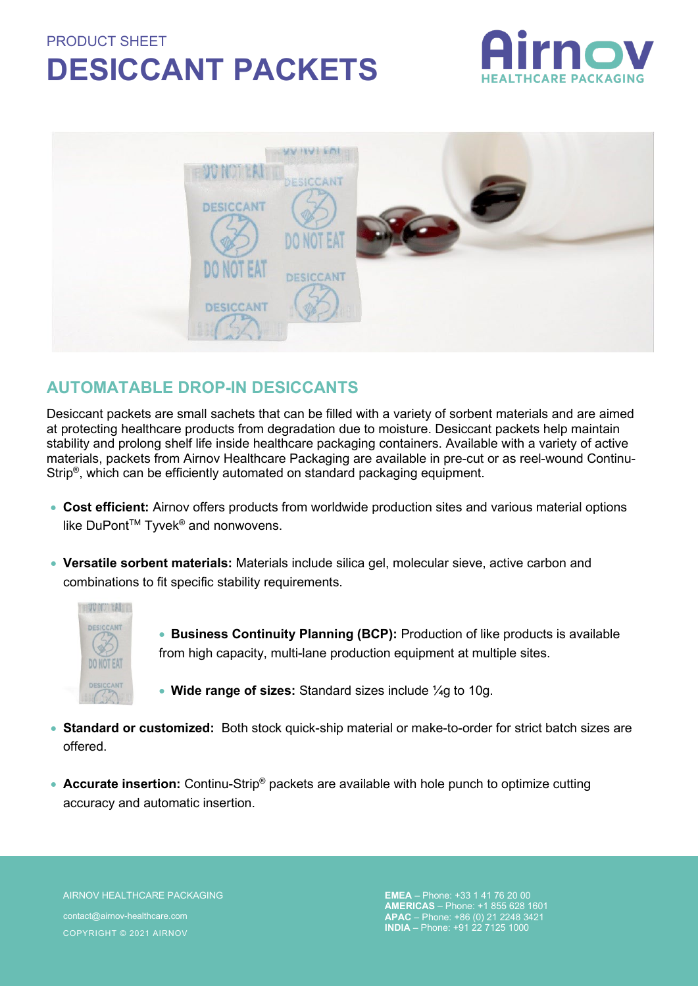## PRODUCT SHEET **DESICCANT PACKETS**





## **AUTOMATABLE DROP-IN DESICCANTS**

Desiccant packets are small sachets that can be filled with a variety of sorbent materials and are aimed at protecting healthcare products from degradation due to moisture. Desiccant packets help maintain stability and prolong shelf life inside healthcare packaging containers. Available with a variety of active materials, packets from Airnov Healthcare Packaging are available in pre-cut or as reel-wound Continu-Strip®, which can be efficiently automated on standard packaging equipment.

- **Cost efficient:** Airnov offers products from worldwide production sites and various material options like DuPont™ Tyvek<sup>®</sup> and nonwovens.
- **Versatile sorbent materials:** Materials include silica gel, molecular sieve, active carbon and combinations to fit specific stability requirements.



• **Business Continuity Planning (BCP):** Production of like products is available from high capacity, multi-lane production equipment at multiple sites.

- **Wide range of sizes:** Standard sizes include ¼g to 10g.
- **Standard or customized:** Both stock quick-ship material or make-to-order for strict batch sizes are offered.
- **Accurate insertion:** Continu-Strip<sup>®</sup> packets are available with hole punch to optimize cutting accuracy and automatic insertion.

AIRNOV HEALTHCARE PACKAGING contact@airnov-healthcare.com COPYRIGHT © 2021 AIRNOV